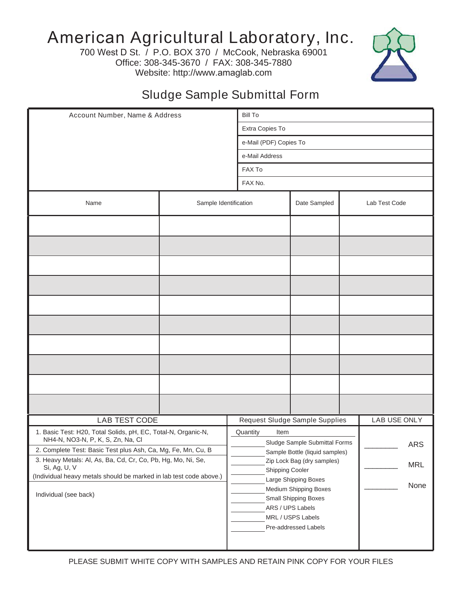## American Agricultural Laboratory, Inc.

700 West D St. / P.O. BOX 370 / McCook, Nebraska 69001 Office: 308-345-3670 / FAX: 308-345-7880 Website: http://www.amaglab.com



## Sludge Sample Submittal Form

| Account Number, Name & Address                                                                     |                       | <b>Bill To</b> |                                                                                                                |              |              |               |  |
|----------------------------------------------------------------------------------------------------|-----------------------|----------------|----------------------------------------------------------------------------------------------------------------|--------------|--------------|---------------|--|
|                                                                                                    |                       |                | Extra Copies To                                                                                                |              |              |               |  |
|                                                                                                    |                       |                | e-Mail (PDF) Copies To                                                                                         |              |              |               |  |
|                                                                                                    |                       |                | e-Mail Address                                                                                                 |              |              |               |  |
|                                                                                                    |                       |                | FAX To                                                                                                         |              |              |               |  |
|                                                                                                    |                       |                | FAX No.                                                                                                        |              |              |               |  |
| Name                                                                                               | Sample Identification |                |                                                                                                                | Date Sampled |              | Lab Test Code |  |
|                                                                                                    |                       |                |                                                                                                                |              |              |               |  |
|                                                                                                    |                       |                |                                                                                                                |              |              |               |  |
|                                                                                                    |                       |                |                                                                                                                |              |              |               |  |
|                                                                                                    |                       |                |                                                                                                                |              |              |               |  |
|                                                                                                    |                       |                |                                                                                                                |              |              |               |  |
|                                                                                                    |                       |                |                                                                                                                |              |              |               |  |
|                                                                                                    |                       |                |                                                                                                                |              |              |               |  |
|                                                                                                    |                       |                |                                                                                                                |              |              |               |  |
|                                                                                                    |                       |                |                                                                                                                |              |              |               |  |
|                                                                                                    |                       |                |                                                                                                                |              |              |               |  |
| LAB TEST CODE                                                                                      |                       |                | Request Sludge Sample Supplies                                                                                 |              | LAB USE ONLY |               |  |
| 1. Basic Test: H20, Total Solids, pH, EC, Total-N, Organic-N,<br>NH4-N, NO3-N, P, K, S, Zn, Na, Cl |                       |                | Quantity<br>Item                                                                                               |              |              |               |  |
| 2. Complete Test: Basic Test plus Ash, Ca, Mg, Fe, Mn, Cu, B                                       |                       |                | Sludge Sample Submittal Forms<br>Sample Bottle (liquid samples)                                                |              |              | <b>ARS</b>    |  |
| 3. Heavy Metals: Al, As, Ba, Cd, Cr, Co, Pb, Hg, Mo, Ni, Se,                                       |                       |                | Zip Lock Bag (dry samples)                                                                                     |              | <b>MRL</b>   |               |  |
| Si, Ag, U, V<br>(Individual heavy metals should be marked in lab test code above.)                 |                       |                | Shipping Cooler                                                                                                |              |              |               |  |
| Individual (see back)                                                                              |                       |                | Large Shipping Boxes<br>Medium Shipping Boxes<br>Small Shipping Boxes<br>ARS / UPS Labels<br>MRL / USPS Labels |              | None         |               |  |
|                                                                                                    |                       |                |                                                                                                                |              |              |               |  |
|                                                                                                    |                       |                |                                                                                                                |              |              |               |  |
|                                                                                                    |                       |                | Pre-addressed Labels                                                                                           |              |              |               |  |
|                                                                                                    |                       |                |                                                                                                                |              |              |               |  |